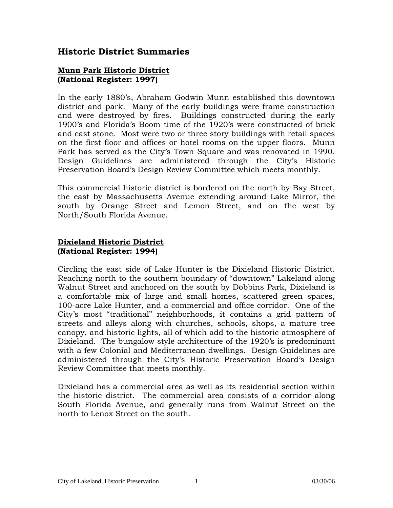### **Historic District Summaries**

#### **Munn Park Historic District (National Register: 1997)**

In the early 1880's, Abraham Godwin Munn established this downtown district and park. Many of the early buildings were frame construction and were destroyed by fires. Buildings constructed during the early 1900's and Florida's Boom time of the 1920's were constructed of brick and cast stone. Most were two or three story buildings with retail spaces on the first floor and offices or hotel rooms on the upper floors. Munn Park has served as the City's Town Square and was renovated in 1990. Design Guidelines are administered through the City's Historic Preservation Board's Design Review Committee which meets monthly.

This commercial historic district is bordered on the north by Bay Street, the east by Massachusetts Avenue extending around Lake Mirror, the south by Orange Street and Lemon Street, and on the west by North/South Florida Avenue.

#### **Dixieland Historic District (National Register: 1994)**

Circling the east side of Lake Hunter is the Dixieland Historic District. Reaching north to the southern boundary of "downtown" Lakeland along Walnut Street and anchored on the south by Dobbins Park, Dixieland is a comfortable mix of large and small homes, scattered green spaces, 100-acre Lake Hunter, and a commercial and office corridor. One of the City's most "traditional" neighborhoods, it contains a grid pattern of streets and alleys along with churches, schools, shops, a mature tree canopy, and historic lights, all of which add to the historic atmosphere of Dixieland. The bungalow style architecture of the 1920's is predominant with a few Colonial and Mediterranean dwellings. Design Guidelines are administered through the City's Historic Preservation Board's Design Review Committee that meets monthly.

Dixieland has a commercial area as well as its residential section within the historic district. The commercial area consists of a corridor along South Florida Avenue, and generally runs from Walnut Street on the north to Lenox Street on the south.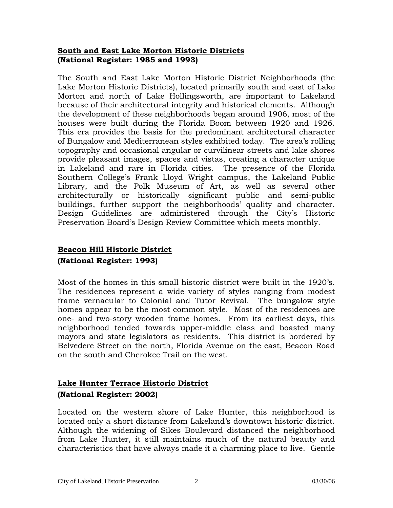### **South and East Lake Morton Historic Districts (National Register: 1985 and 1993)**

The South and East Lake Morton Historic District Neighborhoods (the Lake Morton Historic Districts), located primarily south and east of Lake Morton and north of Lake Hollingsworth, are important to Lakeland because of their architectural integrity and historical elements. Although the development of these neighborhoods began around 1906, most of the houses were built during the Florida Boom between 1920 and 1926. This era provides the basis for the predominant architectural character of Bungalow and Mediterranean styles exhibited today. The area's rolling topography and occasional angular or curvilinear streets and lake shores provide pleasant images, spaces and vistas, creating a character unique in Lakeland and rare in Florida cities. The presence of the Florida Southern College's Frank Lloyd Wright campus, the Lakeland Public Library, and the Polk Museum of Art, as well as several other architecturally or historically significant public and semi-public buildings, further support the neighborhoods' quality and character. Design Guidelines are administered through the City's Historic Preservation Board's Design Review Committee which meets monthly.

# **Beacon Hill Historic District (National Register: 1993)**

Most of the homes in this small historic district were built in the 1920's. The residences represent a wide variety of styles ranging from modest frame vernacular to Colonial and Tutor Revival. The bungalow style homes appear to be the most common style. Most of the residences are one- and two-story wooden frame homes. From its earliest days, this neighborhood tended towards upper-middle class and boasted many mayors and state legislators as residents. This district is bordered by Belvedere Street on the north, Florida Avenue on the east, Beacon Road on the south and Cherokee Trail on the west.

## **Lake Hunter Terrace Historic District (National Register: 2002)**

Located on the western shore of Lake Hunter, this neighborhood is located only a short distance from Lakeland's downtown historic district. Although the widening of Sikes Boulevard distanced the neighborhood from Lake Hunter, it still maintains much of the natural beauty and characteristics that have always made it a charming place to live. Gentle